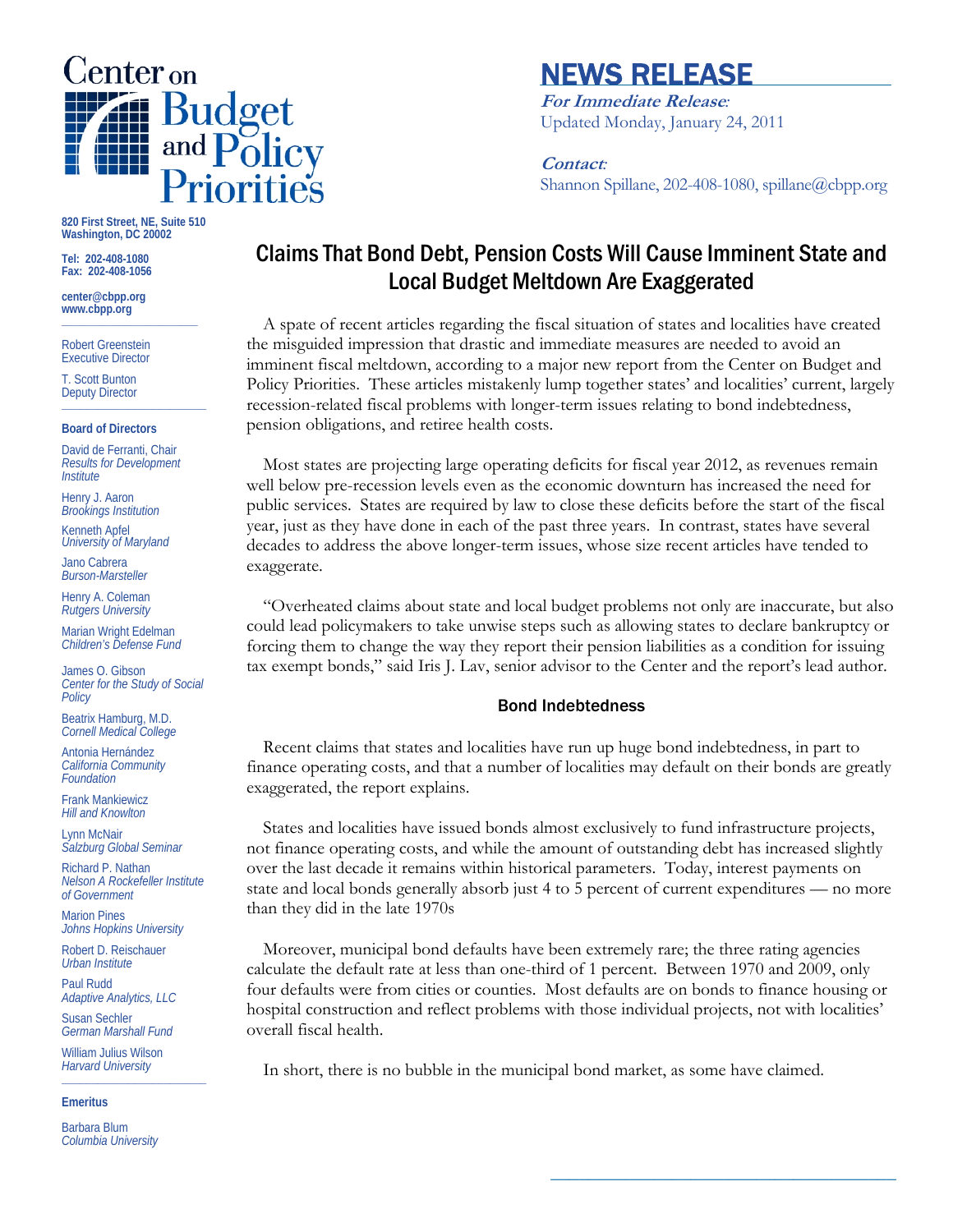

# NEWS RELEASE

**For Immediate Release***:* Updated Monday, January 24, 2011

**Contact***:* Shannon Spillane, 202-408-1080, spillane@cbpp.org

**820 First Street, NE, Suite 510 Washington, DC 20002** 

**Tel: 202-408-1080 Fax: 202-408-1056** 

**center@cbpp.org www.cbpp.org \_\_\_\_\_\_\_\_\_\_\_\_\_\_\_\_\_\_\_\_\_\_\_\_** 

Robert Greenstein Executive Director

T. Scott Bunton Deputy Director **\_\_\_\_\_\_\_\_\_\_\_\_\_\_\_\_\_\_\_\_\_\_\_\_** 

#### **Board of Directors**

David de Ferranti, Chair *Results for Development Institute* 

Henry J. Aaron *Brookings Institution* 

Kenneth Apfel *University of Maryland* 

Jano Cabrera *Burson-Marsteller* 

Henry A. Coleman *Rutgers University* 

Marian Wright Edelman *Children's Defense Fund* 

James O. Gibson *Center for the Study of Social Policy* 

Beatrix Hamburg, M.D. *Cornell Medical College* 

Antonia Hernández *California Community Foundation* 

Frank Mankiewicz *Hill and Knowlton* 

Lynn McNair *Salzburg Global Seminar* 

Richard P. Nathan *Nelson A Rockefeller Institute of Government* 

Marion Pines *Johns Hopkins University* 

Robert D. Reischauer *Urban Institute* 

Paul Rudd *Adaptive Analytics, LLC* 

Susan Sechler *German Marshall Fund* 

William Julius Wilson *Harvard University*  **\_\_\_\_\_\_\_\_\_\_\_\_\_\_\_\_\_\_\_\_\_\_\_\_** 

**Emeritus** 

Barbara Blum *Columbia University* 

# Claims That Bond Debt, Pension Costs Will Cause Imminent State and Local Budget Meltdown Are Exaggerated

A spate of recent articles regarding the fiscal situation of states and localities have created the misguided impression that drastic and immediate measures are needed to avoid an imminent fiscal meltdown, according to a major new report from the Center on Budget and Policy Priorities. These articles mistakenly lump together states' and localities' current, largely recession-related fiscal problems with longer-term issues relating to bond indebtedness, pension obligations, and retiree health costs.

Most states are projecting large operating deficits for fiscal year 2012, as revenues remain well below pre-recession levels even as the economic downturn has increased the need for public services. States are required by law to close these deficits before the start of the fiscal year, just as they have done in each of the past three years. In contrast, states have several decades to address the above longer-term issues, whose size recent articles have tended to exaggerate.

"Overheated claims about state and local budget problems not only are inaccurate, but also could lead policymakers to take unwise steps such as allowing states to declare bankruptcy or forcing them to change the way they report their pension liabilities as a condition for issuing tax exempt bonds," said Iris J. Lav, senior advisor to the Center and the report's lead author.

# Bond Indebtedness

Recent claims that states and localities have run up huge bond indebtedness, in part to finance operating costs, and that a number of localities may default on their bonds are greatly exaggerated, the report explains.

States and localities have issued bonds almost exclusively to fund infrastructure projects, not finance operating costs, and while the amount of outstanding debt has increased slightly over the last decade it remains within historical parameters. Today, interest payments on state and local bonds generally absorb just 4 to 5 percent of current expenditures — no more than they did in the late 1970s

Moreover, municipal bond defaults have been extremely rare; the three rating agencies calculate the default rate at less than one-third of 1 percent. Between 1970 and 2009, only four defaults were from cities or counties. Most defaults are on bonds to finance housing or hospital construction and reflect problems with those individual projects, not with localities' overall fiscal health.

**\_\_\_\_\_\_\_\_\_\_\_\_\_\_\_\_\_\_\_\_\_\_\_\_\_\_\_\_\_\_\_\_\_\_\_\_\_** 

In short, there is no bubble in the municipal bond market, as some have claimed.